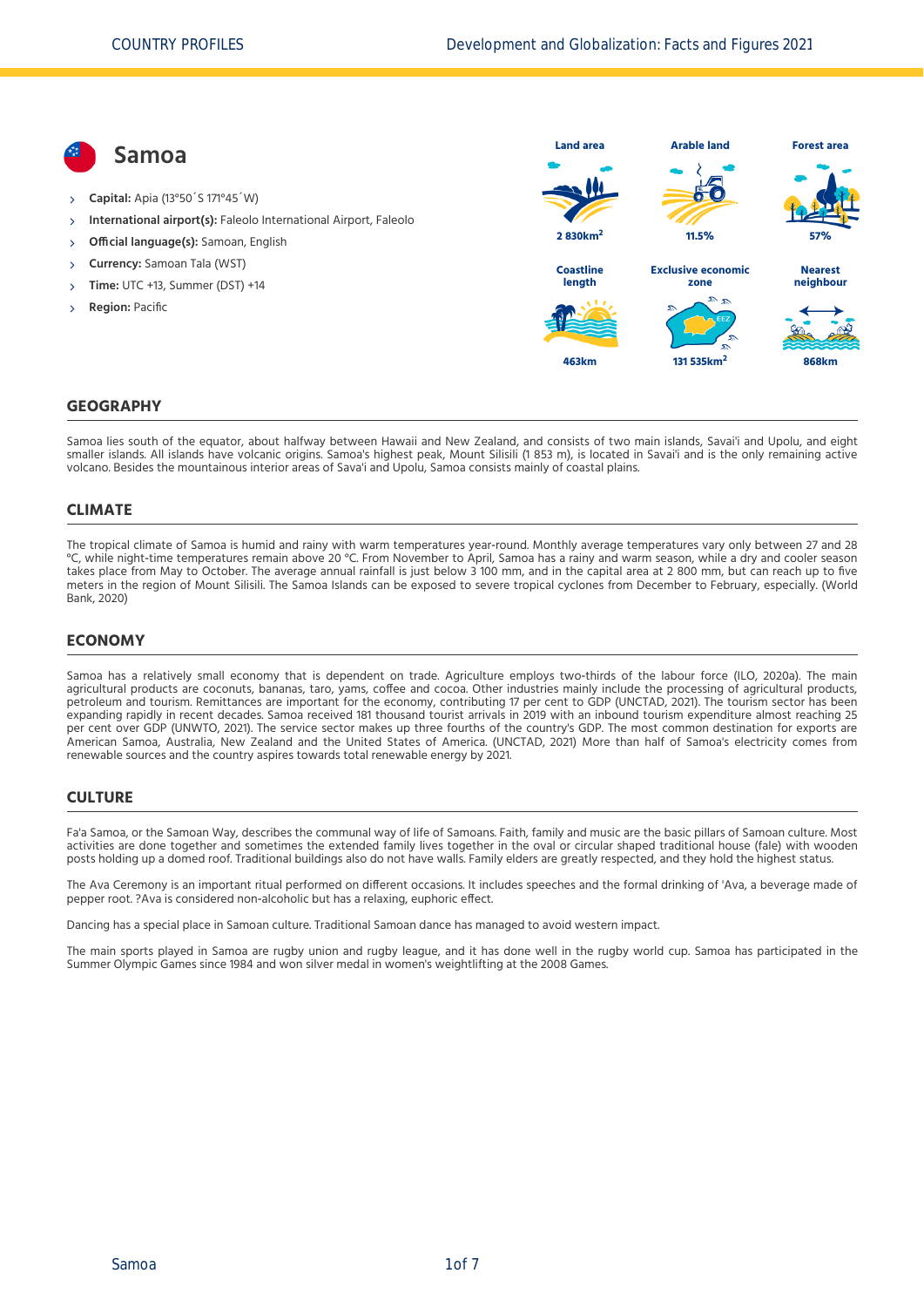**Samoa Capital:** Apia (13°50´S 171°45´W) **International airport(s):** Faleolo International Airport, Faleolo **Official language(s):** Samoan, English **Currency:** Samoan Tala (WST) **Time:** UTC +13, Summer (DST) +14 **Region:** Pacific **Land area 2 830km<sup>2</sup> Arable land 11.5% Forest area 57% Coastline length 463km Exclusive economic zone 131 535km<sup>2</sup> Nearest neighbour 868km**

#### **GEOGRAPHY**

Samoa lies south of the equator, about halfway between Hawaii and New Zealand, and consists of two main islands, Savai'i and Upolu, and eight smaller islands. All islands have volcanic origins. Samoa's highest peak, Mount Silisili (1 853 m), is located in Savai'i and is the only remaining active volcano. Besides the mountainous interior areas of Sava'i and Upolu, Samoa consists mainly of coastal plains.

#### **CLIMATE**

The tropical climate of Samoa is humid and rainy with warm temperatures year-round. Monthly average temperatures vary only between 27 and 28 °C, while night‐time temperatures remain above 20 °C. From November to April, Samoa has a rainy and warm season, while a dry and cooler season takes place from May to October. The average annual rainfall is just below 3 100 mm, and in the capital area at 2 800 mm, but can reach up to five [meters in the region of Mount Silisili. The Samoa Islands can be exposed to severe tropical cyclones from December to February, especially. \(World](#page-6-0) Bank, 2020)

### **ECONOMY**

Samoa has a relatively small economy that is dependent on trade. Agriculture employs two-thirds of the labour force [\(ILO, 2020a\).](#page-6-1) The main agricultural products are coconuts, bananas, taro, yams, coffee and cocoa. Other industries mainly include the processing of agricultural products, petroleum and tourism. Remittances are important for the economy, contributing 17 per cent to GDP [\(UNCTAD, 2021\)](#page-6-2). The tourism sector has been expanding rapidly in recent decades. Samoa received 181 thousand tourist arrivals in 2019 with an inbound tourism expenditure almost reaching 25 per cent over GDP [\(UNWTO, 2021\)](#page-6-3). The service sector makes up three fourths of the country's GDP. The most common destination for exports are American Samoa, Australia, New Zealand and the United States of America. [\(UNCTAD, 2021\)](#page-6-2) More than half of Samoa's electricity comes from renewable sources and the country aspires towards total renewable energy by 2021.

#### **CULTURE**

Fa'a Samoa, or the Samoan Way, describes the communal way of life of Samoans. Faith, family and music are the basic pillars of Samoan culture. Most activities are done together and sometimes the extended family lives together in the oval or circular shaped traditional house (fale) with wooden posts holding up a domed roof. Traditional buildings also do not have walls. Family elders are greatly respected, and they hold the highest status.

The Ava Ceremony is an important ritual performed on different occasions. It includes speeches and the formal drinking of 'Ava, a beverage made of pepper root. ?Ava is considered non‐alcoholic but has a relaxing, euphoric effect.

Dancing has a special place in Samoan culture. Traditional Samoan dance has managed to avoid western impact.

The main sports played in Samoa are rugby union and rugby league, and it has done well in the rugby world cup. Samoa has participated in the Summer Olympic Games since 1984 and won silver medal in women's weightlifting at the 2008 Games.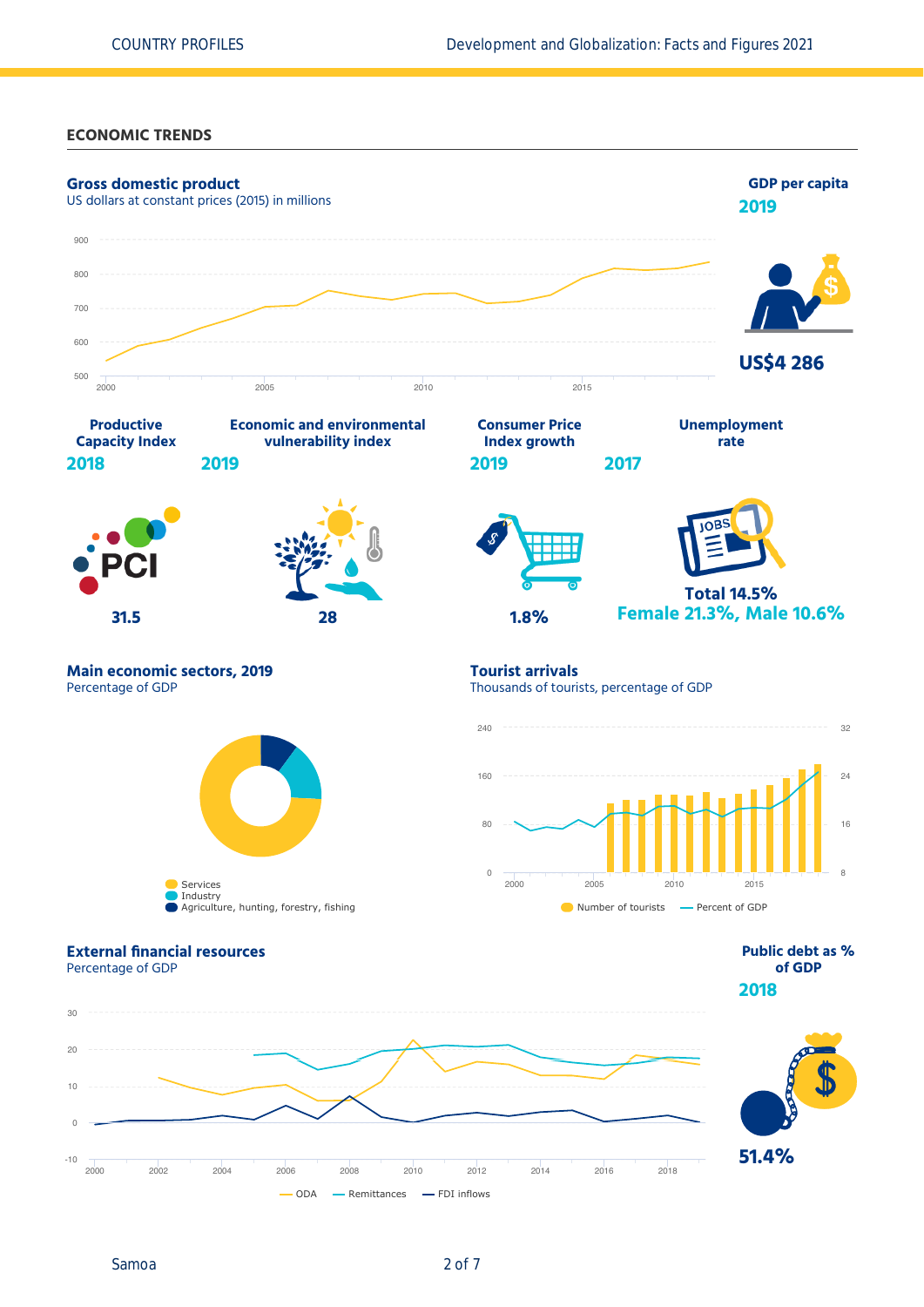### **ECONOMIC TRENDS**



Samoa 2 of 7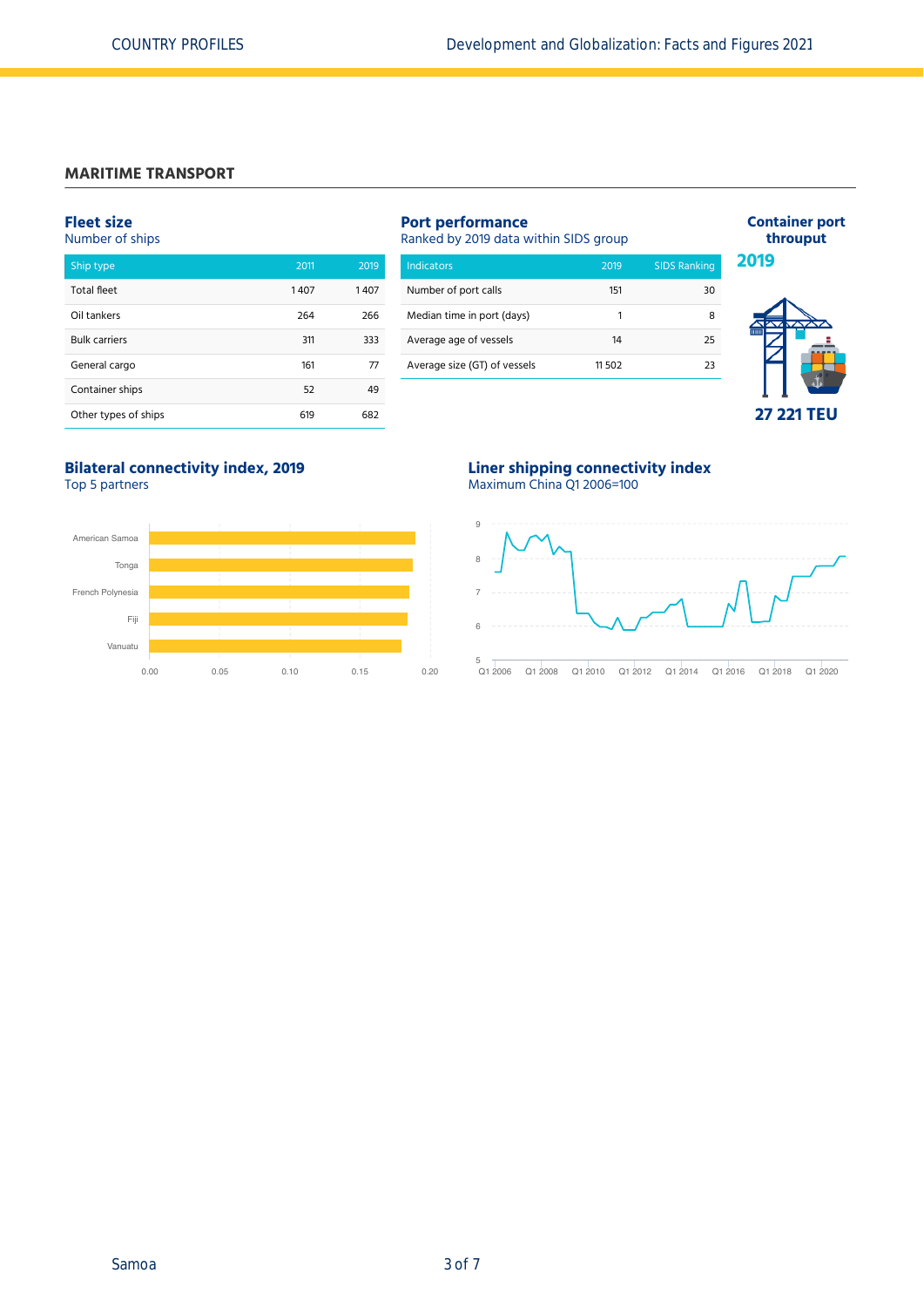#### **MARITIME TRANSPORT**

#### **Fleet size** Number of ships

| Ship type            | 2011 | 2019 |
|----------------------|------|------|
| Total fleet          | 1407 | 1407 |
| Oil tankers          | 264  | 266  |
| <b>Bulk carriers</b> | 311  | 333  |
| General cargo        | 161  | 77   |
| Container ships      | 52   | 49   |
| Other types of ships | 619  | 682  |

# **Port performance**

Ranked by 2019 data within SIDS group

| Number of port calls         |        |    |
|------------------------------|--------|----|
|                              | 151    | 30 |
| Median time in port (days)   | 1      | 8  |
| Average age of vessels       | 14     | 25 |
| Average size (GT) of vessels | 11 502 | つろ |



**Container port throuput**

#### **Bilateral connectivity index, 2019** Top 5 partners



# **Liner shipping connectivity index**





Q1 2006 Q1 2008 Q1 2010 Q1 2012 Q1 2014 Q1 2016 Q1 2018 Q1 2020  $Q12006$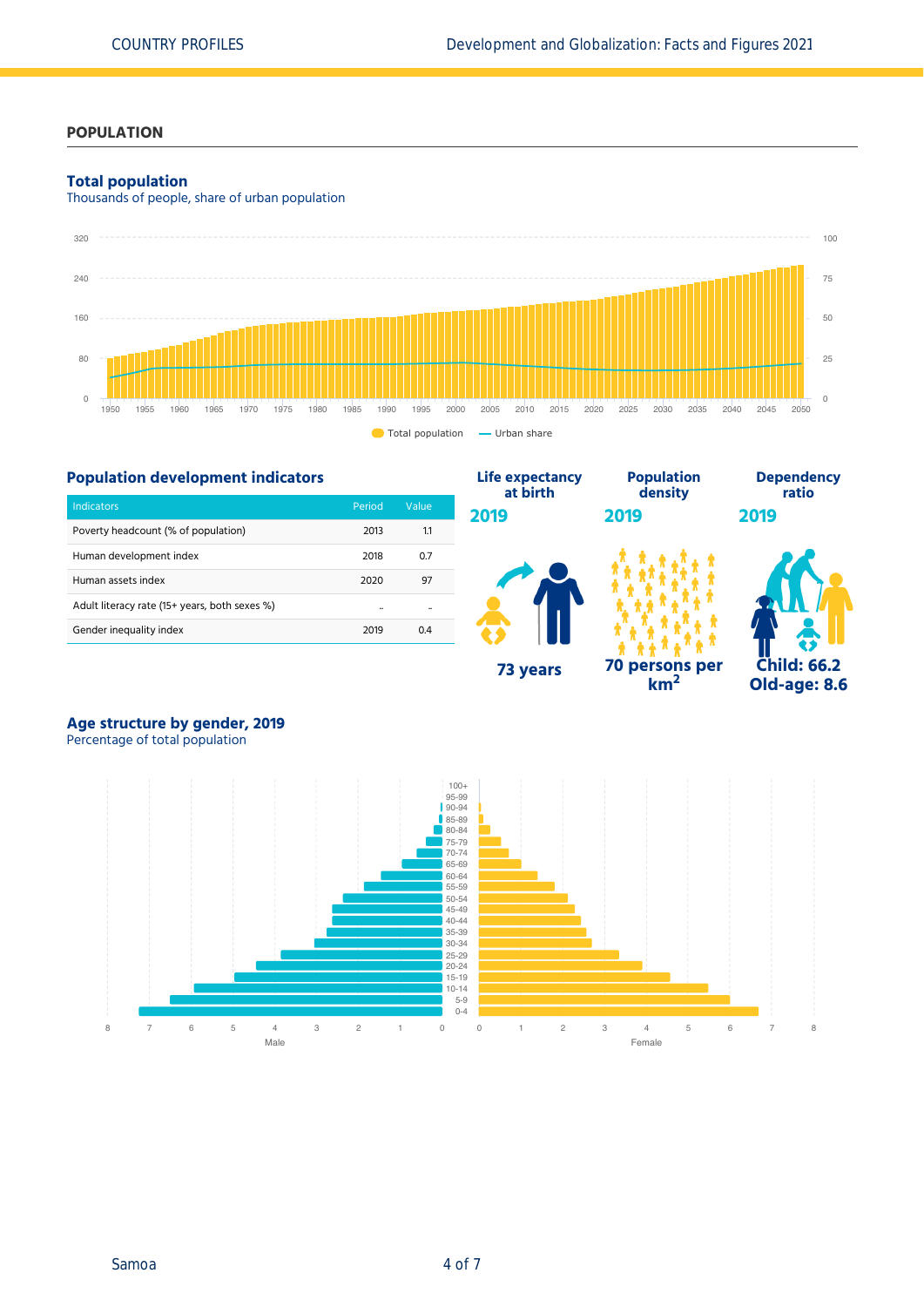# **POPULATION**

### **Total population**

Thousands of people, share of urban population



**Life expectancy**

# **Population development indicators**

| <b>Indicators</b>                             | Period | Value |
|-----------------------------------------------|--------|-------|
| Poverty headcount (% of population)           | 2013   | 1.1   |
| Human development index                       | 2018   | 0.7   |
| Human assets index                            | 2020   | 97    |
| Adult literacy rate (15+ years, both sexes %) |        |       |
| Gender inequality index                       | 2019   | 04    |



**Population**

**km<sup>2</sup>**



**Dependency**

# **Age structure by gender, 2019**

Percentage of total population

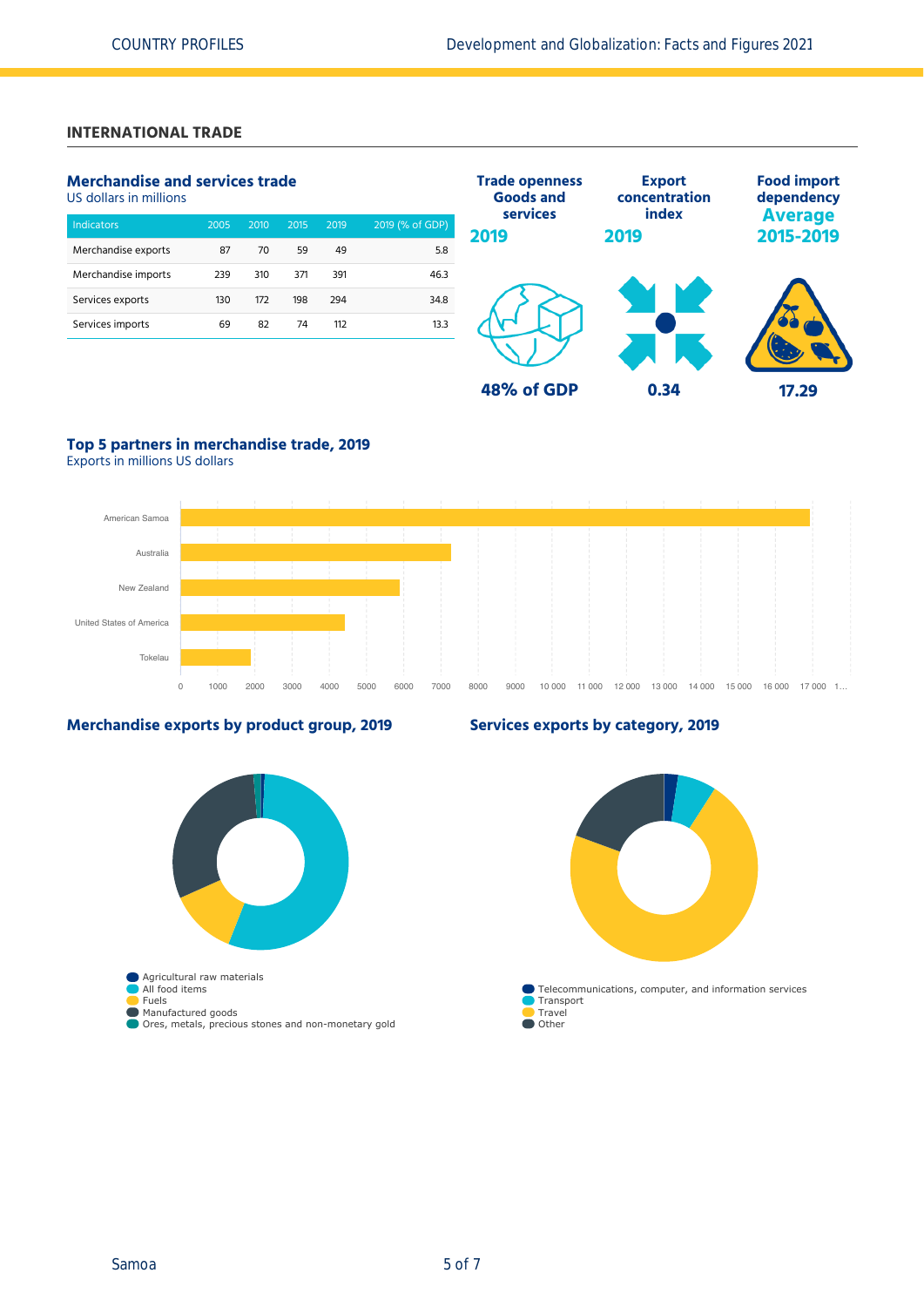# **INTERNATIONAL TRADE**

# **Merchandise and services trade**

US dollars in millions

| <b>Indicators</b>   | 2005 | 2010 | 2015 | 2019 | 2019 (% of GDP) |
|---------------------|------|------|------|------|-----------------|
| Merchandise exports | 87   | 70   | 59   | 49   | 5.8             |
| Merchandise imports | 239  | 310  | 371  | 391  | 46.3            |
| Services exports    | 130  | 172  | 198  | 294  | 34.8            |
| Services imports    | 69   | 82   | 74   | 112  | 13.3            |
|                     |      |      |      |      |                 |



# **Top 5 partners in merchandise trade, 2019**

Exports in millions US dollars



# **Merchandise exports by product group, 2019**



# **Services exports by category, 2019**

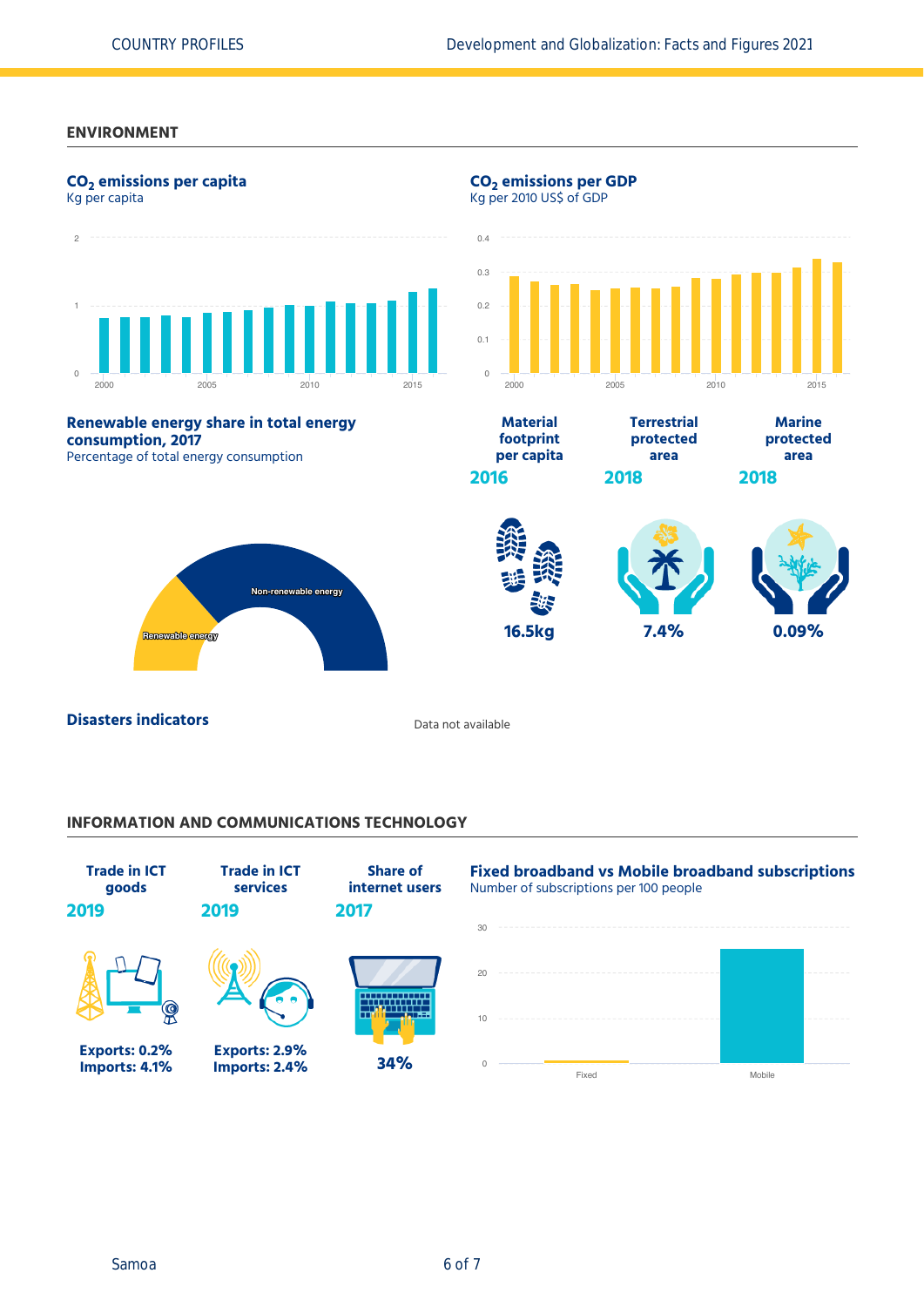# **ENVIRONMENT**



# **INFORMATION AND COMMUNICATIONS TECHNOLOGY**